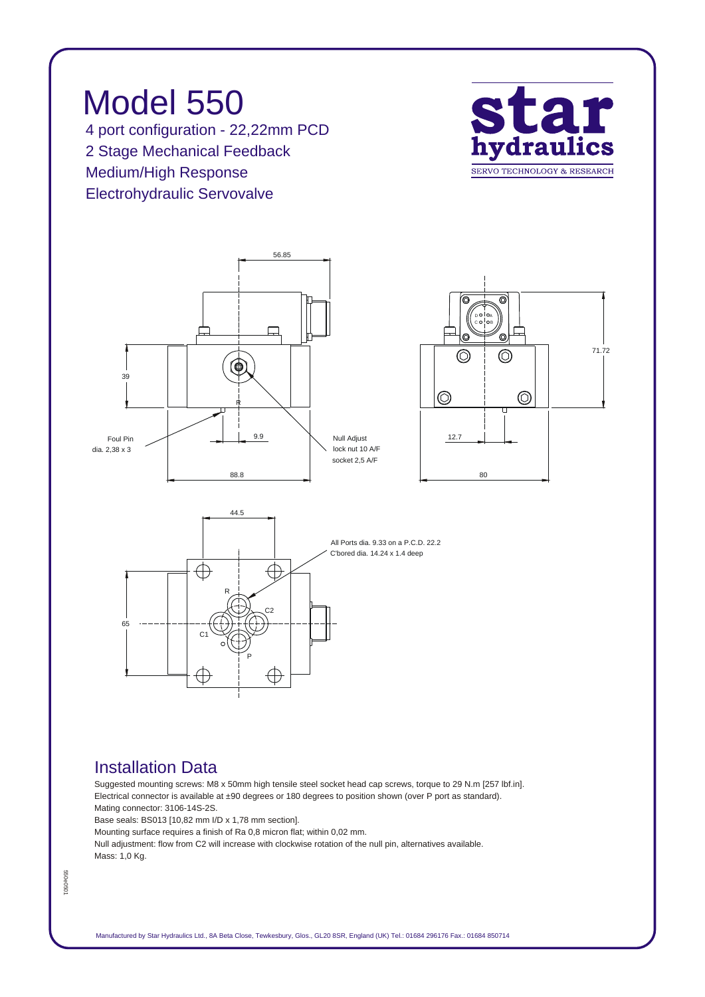



*P*

€



## *Installation Data*

*Suggested mounting screws: M8 x 50mm high tensile steel socket head cap screws, torque to 29 N.m [257 lbf.in]. Electrical connector is available at ±90 degrees or 180 degrees to position shown (over P port as standard). Mating connector: 3106-14S-2S.*

*Base seals: BS013 [10,82 mm I/D x 1,78 mm section].*

*C1*

*Mounting surface requires a finish of Ra 0,8 micron flat; within 0,02 mm.*

*Null adjustment: flow from C2 will increase with clockwise rotation of the null pin, alternatives available. Mass: 1,0 Kg.*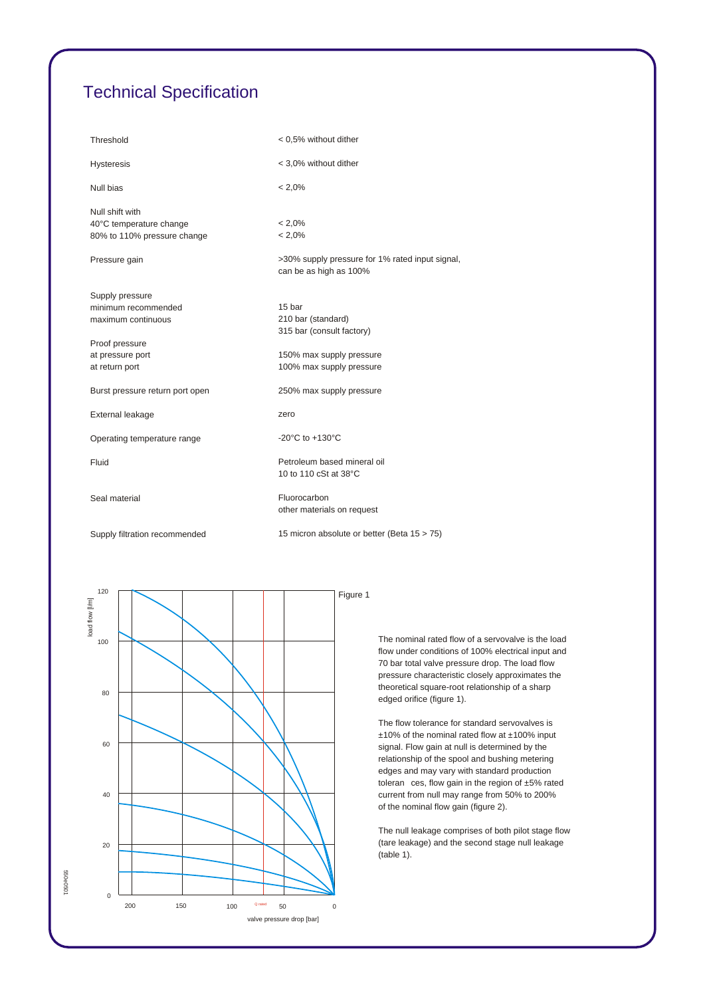## *Technical Specification*

| Threshold                                              | < 0,5% without dither                                                     |
|--------------------------------------------------------|---------------------------------------------------------------------------|
| <b>Hysteresis</b>                                      | < 3,0% without dither                                                     |
| Null bias                                              | $< 2.0\%$                                                                 |
| Null shift with                                        | $< 2.0\%$                                                                 |
| 40°C temperature change<br>80% to 110% pressure change | $< 2.0\%$                                                                 |
| Pressure gain                                          | >30% supply pressure for 1% rated input signal,<br>can be as high as 100% |
| Supply pressure                                        |                                                                           |
| minimum recommended                                    | 15 bar                                                                    |
| maximum continuous                                     | 210 bar (standard)                                                        |
|                                                        | 315 bar (consult factory)                                                 |
| Proof pressure                                         |                                                                           |
| at pressure port                                       | 150% max supply pressure                                                  |
| at return port                                         | 100% max supply pressure                                                  |
| Burst pressure return port open                        | 250% max supply pressure                                                  |
| External leakage                                       | zero                                                                      |
| Operating temperature range                            | -20 $^{\circ}$ C to +130 $^{\circ}$ C                                     |
| Fluid                                                  | Petroleum based mineral oil                                               |
|                                                        | 10 to 110 cSt at 38°C                                                     |
| Seal material                                          | Fluorocarbon                                                              |
|                                                        | other materials on request                                                |
| Supply filtration recommended                          | 15 micron absolute or better (Beta 15 > 75)                               |



*The nominal rated flow of a servovalve is the load flow under conditions of 100% electrical input and 70 bar total valve pressure drop. The load flow pressure characteristic closely approximates the theoretical square-root relationship of a sharp edged orifice (figure 1).*

*The flow tolerance for standard servovalves is ±10% of the nominal rated flow at ±100% input signal. Flow gain at null is determined by the relationship of the spool and bushing metering edges and may vary with standard production toleran ces, flow gain in the region of ±5% rated current from null may range from 50% to 200% of the nominal flow gain (figure 2).*

*The null leakage comprises of both pilot stage flow (tare leakage) and the second stage null leakage (table 1).*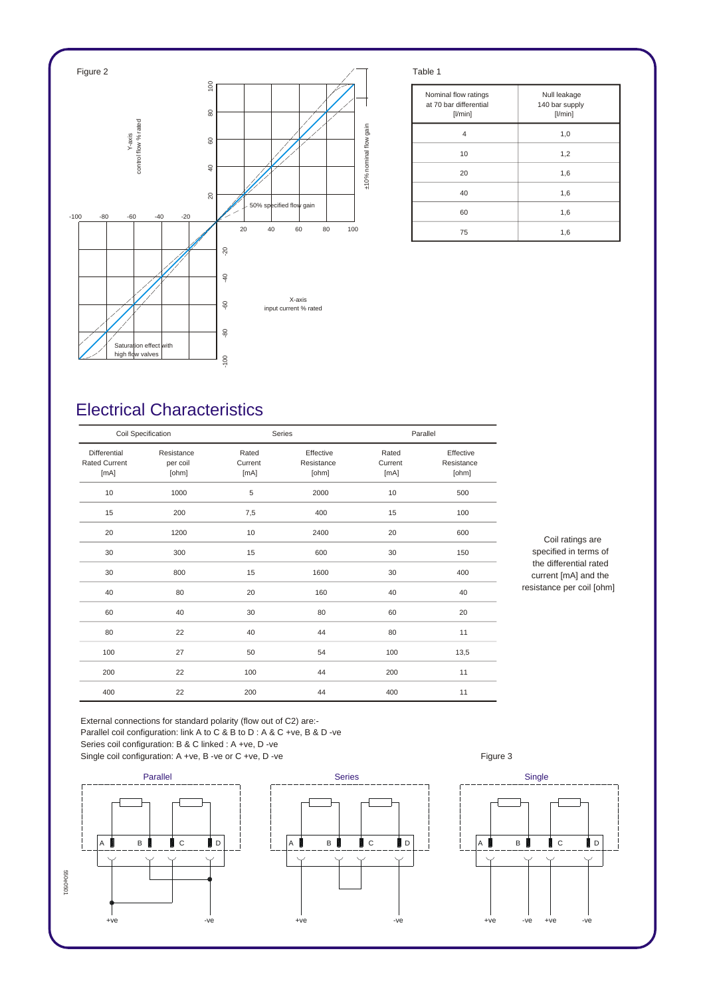

| Nominal flow ratings<br>at 70 bar differential<br>$[$ l/min $]$ | Null leakage<br>140 bar supply<br>[1/min] |
|-----------------------------------------------------------------|-------------------------------------------|
| 4                                                               | 1,0                                       |
| 10                                                              | 1,2                                       |
| 20                                                              | 1,6                                       |
| 40                                                              | 1,6                                       |
| 60                                                              | 1,6                                       |
| 75                                                              | 1,6                                       |

## *Electrical Characteristics*

| Coil Specification                           |                                 |                          | Series                           |                          | Parallel                         |  |
|----------------------------------------------|---------------------------------|--------------------------|----------------------------------|--------------------------|----------------------------------|--|
| Differential<br><b>Rated Current</b><br>[mA] | Resistance<br>per coil<br>[ohm] | Rated<br>Current<br>[mA] | Effective<br>Resistance<br>[ohm] | Rated<br>Current<br>[mA] | Effective<br>Resistance<br>[ohm] |  |
| 10                                           | 1000                            | 5                        | 2000                             | 10                       | 500                              |  |
| 15                                           | 200                             | 7,5                      | 400                              | 15                       | 100                              |  |
| 20                                           | 1200                            | 10                       | 2400                             | 20                       | 600                              |  |
| 30                                           | 300                             | 15                       | 600                              | 30                       | 150                              |  |
| 30                                           | 800                             | 15                       | 1600                             | 30                       | 400                              |  |
| 40                                           | 80                              | 20                       | 160                              | 40                       | 40                               |  |
| 60                                           | 40                              | 30                       | 80                               | 60                       | 20                               |  |
| 80                                           | 22                              | 40                       | 44                               | 80                       | 11                               |  |
| 100                                          | 27                              | 50                       | 54                               | 100                      | 13,5                             |  |
| 200                                          | 22                              | 100                      | 44                               | 200                      | 11                               |  |
| 400                                          | 22                              | 200                      | 44                               | 400                      | 11                               |  |

*Coil ratings are specified in terms of the differential rated current [mA] and the resistance per coil [ohm]*

*External connections for standard polarity (flow out of C2) are:- Parallel coil configuration: link A to C & B to D : A & C +ve, B & D -ve Series coil configuration: B & C linked : A +ve, D -ve*